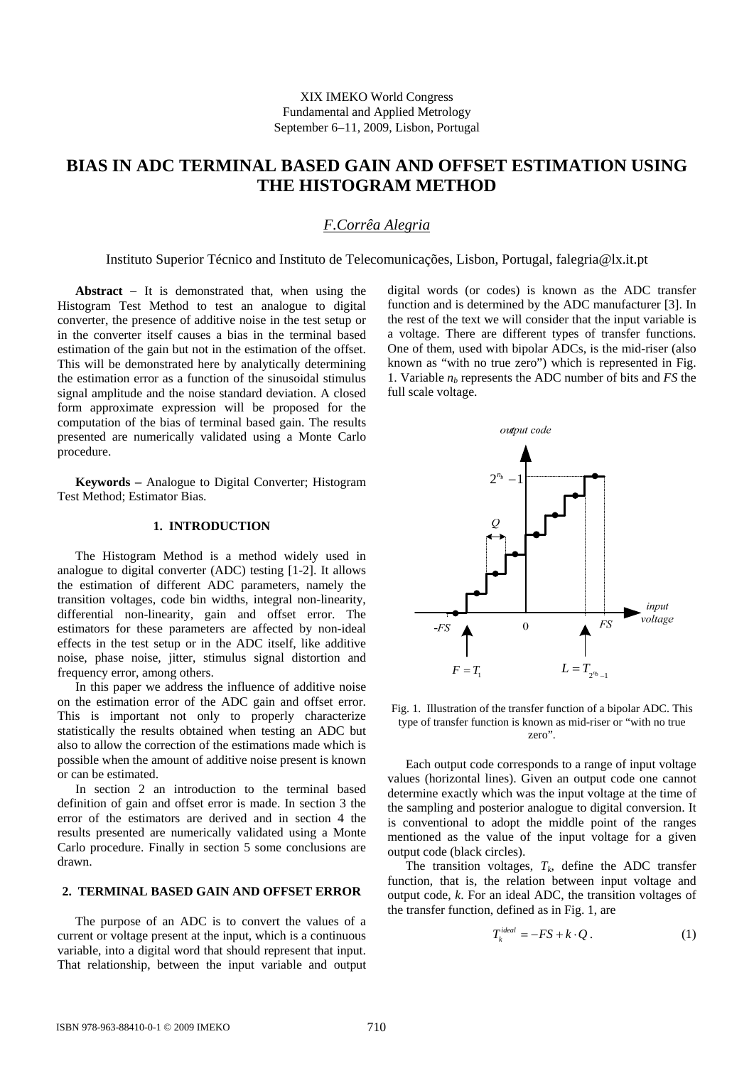# **BIAS IN ADC TERMINAL BASED GAIN AND OFFSET ESTIMATION USING THE HISTOGRAM METHOD**

# *F.Corrêa Alegria*

Instituto Superior Técnico and Instituto de Telecomunicações, Lisbon, Portugal, falegria@lx.it.pt

**Abstract** − It is demonstrated that, when using the Histogram Test Method to test an analogue to digital converter, the presence of additive noise in the test setup or in the converter itself causes a bias in the terminal based estimation of the gain but not in the estimation of the offset. This will be demonstrated here by analytically determining the estimation error as a function of the sinusoidal stimulus signal amplitude and the noise standard deviation. A closed form approximate expression will be proposed for the computation of the bias of terminal based gain. The results presented are numerically validated using a Monte Carlo procedure.

**Keywords** − Analogue to Digital Converter; Histogram Test Method; Estimator Bias.

### **1. INTRODUCTION**

The Histogram Method is a method widely used in analogue to digital converter (ADC) testing [1-2]. It allows the estimation of different ADC parameters, namely the transition voltages, code bin widths, integral non-linearity, differential non-linearity, gain and offset error. The estimators for these parameters are affected by non-ideal effects in the test setup or in the ADC itself, like additive noise, phase noise, jitter, stimulus signal distortion and frequency error, among others.

In this paper we address the influence of additive noise on the estimation error of the ADC gain and offset error. This is important not only to properly characterize statistically the results obtained when testing an ADC but also to allow the correction of the estimations made which is possible when the amount of additive noise present is known or can be estimated.

In section 2 an introduction to the terminal based definition of gain and offset error is made. In section 3 the error of the estimators are derived and in section 4 the results presented are numerically validated using a Monte Carlo procedure. Finally in section 5 some conclusions are drawn.

### **2. TERMINAL BASED GAIN AND OFFSET ERROR**

The purpose of an ADC is to convert the values of a current or voltage present at the input, which is a continuous variable, into a digital word that should represent that input. That relationship, between the input variable and output digital words (or codes) is known as the ADC transfer function and is determined by the ADC manufacturer [3]. In the rest of the text we will consider that the input variable is a voltage. There are different types of transfer functions. One of them, used with bipolar ADCs, is the mid-riser (also known as "with no true zero") which is represented in Fig. 1. Variable  $n_b$  represents the ADC number of bits and  $FS$  the full scale voltage.



Fig. 1. Illustration of the transfer function of a bipolar ADC. This type of transfer function is known as mid-riser or "with no true zero".

Each output code corresponds to a range of input voltage values (horizontal lines). Given an output code one cannot determine exactly which was the input voltage at the time of the sampling and posterior analogue to digital conversion. It is conventional to adopt the middle point of the ranges mentioned as the value of the input voltage for a given output code (black circles).

The transition voltages,  $T_k$ , define the ADC transfer function, that is, the relation between input voltage and output code, *k*. For an ideal ADC, the transition voltages of the transfer function, defined as in Fig. 1, are

$$
T_k^{ideal} = -FS + k \cdot Q \,. \tag{1}
$$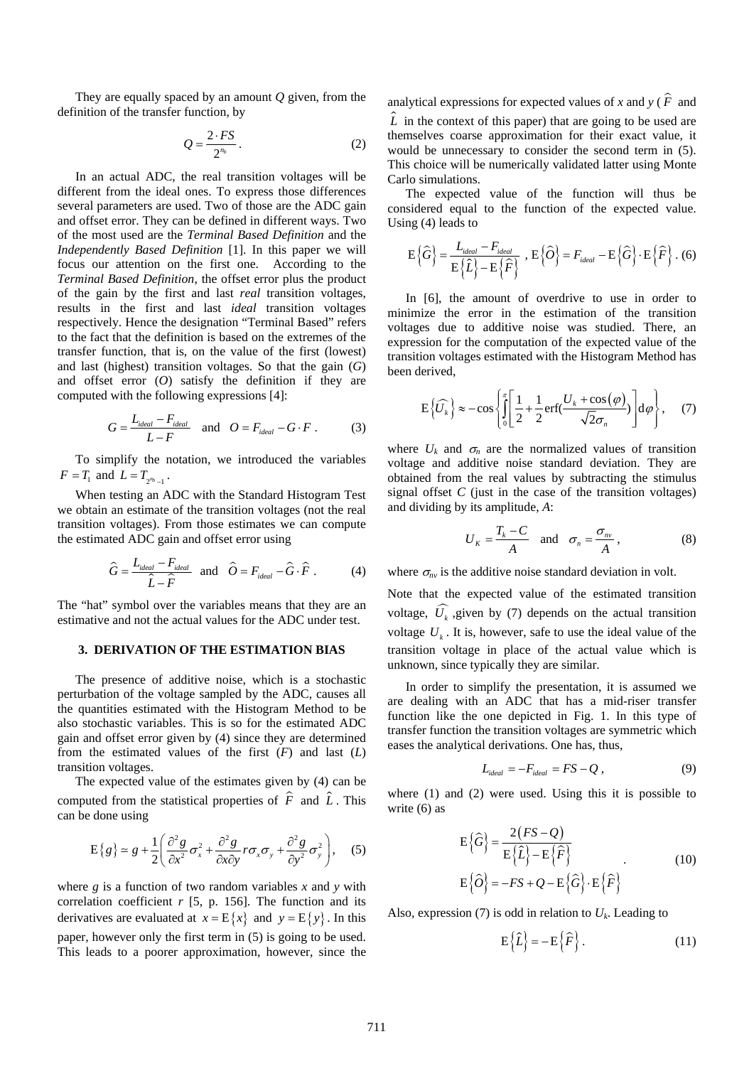They are equally spaced by an amount *Q* given, from the definition of the transfer function, by

$$
Q = \frac{2 \cdot FS}{2^{n_b}}.
$$
 (2)

In an actual ADC, the real transition voltages will be different from the ideal ones. To express those differences several parameters are used. Two of those are the ADC gain and offset error. They can be defined in different ways. Two of the most used are the *Terminal Based Definition* and the *Independently Based Definition* [1]. In this paper we will focus our attention on the first one. According to the *Terminal Based Definition*, the offset error plus the product of the gain by the first and last *real* transition voltages, results in the first and last *ideal* transition voltages respectively. Hence the designation "Terminal Based" refers to the fact that the definition is based on the extremes of the transfer function, that is, on the value of the first (lowest) and last (highest) transition voltages. So that the gain (*G*) and offset error (*O*) satisfy the definition if they are computed with the following expressions [4]:

$$
G = \frac{L_{ideal} - F_{ideal}}{L - F} \quad \text{and} \quad O = F_{ideal} - G \cdot F \ . \tag{3}
$$

To simplify the notation, we introduced the variables  $F = T_1$  and  $L = T_{2^{n_{b}}-1}$ .

When testing an ADC with the Standard Histogram Test we obtain an estimate of the transition voltages (not the real transition voltages). From those estimates we can compute the estimated ADC gain and offset error using

$$
\hat{G} = \frac{L_{ideal} - F_{ideal}}{\hat{L} - \hat{F}} \quad \text{and} \quad \hat{O} = F_{ideal} - \hat{G} \cdot \hat{F} \tag{4}
$$

The "hat" symbol over the variables means that they are an estimative and not the actual values for the ADC under test.

#### **3. DERIVATION OF THE ESTIMATION BIAS**

The presence of additive noise, which is a stochastic perturbation of the voltage sampled by the ADC, causes all the quantities estimated with the Histogram Method to be also stochastic variables. This is so for the estimated ADC gain and offset error given by (4) since they are determined from the estimated values of the first (*F*) and last (*L*) transition voltages.

The expected value of the estimates given by (4) can be computed from the statistical properties of  $\hat{F}$  and  $\hat{L}$ . This can be done using

$$
E{g} = g + \frac{1}{2} \left( \frac{\partial^2 g}{\partial x^2} \sigma_x^2 + \frac{\partial^2 g}{\partial x \partial y} r \sigma_x \sigma_y + \frac{\partial^2 g}{\partial y^2} \sigma_y^2 \right), \quad (5)
$$

where *g* is a function of two random variables *x* and *y* with correlation coefficient  $r$  [5, p. 156]. The function and its derivatives are evaluated at  $x = E\{x\}$  and  $y = E\{y\}$ . In this paper, however only the first term in (5) is going to be used. This leads to a poorer approximation, however, since the analytical expressions for expected values of *x* and *y* ( $\hat{F}$  and  $\hat{L}$  in the context of this paper) that are going to be used are themselves coarse approximation for their exact value, it would be unnecessary to consider the second term in (5). This choice will be numerically validated latter using Monte Carlo simulations.

The expected value of the function will thus be considered equal to the function of the expected value. Using (4) leads to

$$
E\left\{\widehat{G}\right\} = \frac{L_{ideal} - F_{ideal}}{E\left\{\widehat{L}\right\} - E\left\{\widehat{F}\right\}}, E\left\{\widehat{O}\right\} = F_{ideal} - E\left\{\widehat{G}\right\} \cdot E\left\{\widehat{F}\right\}. (6)
$$

In [6], the amount of overdrive to use in order to minimize the error in the estimation of the transition voltages due to additive noise was studied. There, an expression for the computation of the expected value of the transition voltages estimated with the Histogram Method has been derived,

$$
E\left\{\widehat{U_k}\right\} \approx -\cos\left\{\int_0^{\pi} \left[\frac{1}{2} + \frac{1}{2} \operatorname{erf}\left(\frac{U_k + \cos(\varphi)}{\sqrt{2}\sigma_n}\right)\right] d\varphi\right\},\quad(7)
$$

where  $U_k$  and  $\sigma_n$  are the normalized values of transition voltage and additive noise standard deviation. They are obtained from the real values by subtracting the stimulus signal offset  $C$  (just in the case of the transition voltages) and dividing by its amplitude, *A*:

$$
U_K = \frac{T_k - C}{A} \quad \text{and} \quad \sigma_n = \frac{\sigma_m}{A}, \tag{8}
$$

where  $\sigma_{nv}$  is the additive noise standard deviation in volt.

Note that the expected value of the estimated transition voltage,  $\widehat{U}_k$ , given by (7) depends on the actual transition voltage  $U_k$ . It is, however, safe to use the ideal value of the transition voltage in place of the actual value which is unknown, since typically they are similar.

In order to simplify the presentation, it is assumed we are dealing with an ADC that has a mid-riser transfer function like the one depicted in Fig. 1. In this type of transfer function the transition voltages are symmetric which eases the analytical derivations. One has, thus,

$$
L_{ideal} = -F_{ideal} = FS - Q \,, \tag{9}
$$

where (1) and (2) were used. Using this it is possible to write (6) as

$$
E\left\{\widehat{G}\right\} = \frac{2(FS - Q)}{E\left\{\widehat{L}\right\} - E\left\{\widehat{F}\right\}}
$$
\n
$$
E\left\{\widehat{O}\right\} = -FS + Q - E\left\{\widehat{G}\right\} \cdot E\left\{\widehat{F}\right\}
$$
\n(10)

Also, expression (7) is odd in relation to  $U_k$ . Leading to

$$
E\left\{\widehat{L}\right\} = -E\left\{\widehat{F}\right\}.
$$
 (11)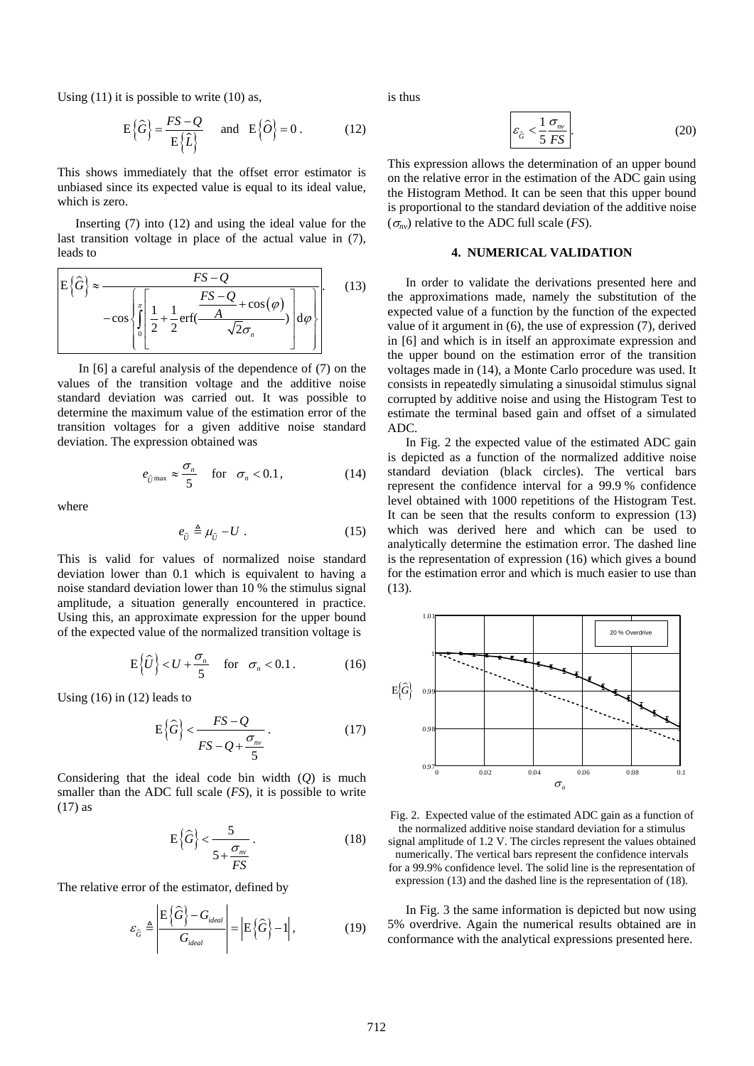Using  $(11)$  it is possible to write  $(10)$  as,

$$
E\left\{\widehat{G}\right\} = \frac{FS - Q}{E\left\{\widehat{L}\right\}}
$$
 and  $E\left\{\widehat{O}\right\} = 0$ . (12)

This shows immediately that the offset error estimator is unbiased since its expected value is equal to its ideal value, which is zero.

Inserting (7) into (12) and using the ideal value for the last transition voltage in place of the actual value in (7), leads to

$$
E\left\{\widehat{G}\right\} \approx \frac{FS - Q}{-\cos\left\{\int_{0}^{\pi} \left[\frac{1}{2} + \frac{1}{2}\text{erf}\left(\frac{FS - Q}{A} + \cos\left(\varphi\right)\right)}{\sqrt{2}\sigma_n}\right] d\varphi\right\}}
$$
(13)

 In [6] a careful analysis of the dependence of (7) on the values of the transition voltage and the additive noise standard deviation was carried out. It was possible to determine the maximum value of the estimation error of the transition voltages for a given additive noise standard deviation. The expression obtained was

$$
e_{\hat{U}^{\max}} \approx \frac{\sigma_n}{5} \quad \text{for} \quad \sigma_n < 0.1,\tag{14}
$$

where

$$
e_{\hat{U}} \triangleq \mu_{\hat{U}} - U \tag{15}
$$

This is valid for values of normalized noise standard deviation lower than 0.1 which is equivalent to having a noise standard deviation lower than 10 % the stimulus signal amplitude, a situation generally encountered in practice. Using this, an approximate expression for the upper bound of the expected value of the normalized transition voltage is

$$
E\left\{\widehat{U}\right\} < U + \frac{\sigma_n}{5} \quad \text{for} \quad \sigma_n < 0.1 \,. \tag{16}
$$

Using (16) in (12) leads to

$$
E\left\{\widehat{G}\right\} < \frac{FS - Q}{FS - Q + \frac{\sigma_m}{5}}\tag{17}
$$

Considering that the ideal code bin width (*Q*) is much smaller than the ADC full scale (*FS*), it is possible to write (17) as

$$
E\left\{\widehat{G}\right\} < \frac{5}{5 + \frac{\sigma_m}{FS}}.\tag{18}
$$

The relative error of the estimator, defined by

$$
\varepsilon_{\widehat{G}} \triangleq \left| \frac{\mathbb{E}\left\{\widehat{G}\right\} - G_{ideal}}{G_{ideal}} \right| = \left| \mathbb{E}\left\{\widehat{G}\right\} - 1 \right|, \tag{19}
$$

is thus

$$
\varepsilon_{\hat{G}} < \frac{1}{5} \frac{\sigma_{\scriptscriptstyle{nv}}}{FS}.\tag{20}
$$

This expression allows the determination of an upper bound on the relative error in the estimation of the ADC gain using the Histogram Method. It can be seen that this upper bound is proportional to the standard deviation of the additive noise  $(\sigma_{nv})$  relative to the ADC full scale (*FS*).

#### **4. NUMERICAL VALIDATION**

In order to validate the derivations presented here and the approximations made, namely the substitution of the expected value of a function by the function of the expected value of it argument in (6), the use of expression (7), derived in [6] and which is in itself an approximate expression and the upper bound on the estimation error of the transition voltages made in (14), a Monte Carlo procedure was used. It consists in repeatedly simulating a sinusoidal stimulus signal corrupted by additive noise and using the Histogram Test to estimate the terminal based gain and offset of a simulated ADC.

In Fig. 2 the expected value of the estimated ADC gain is depicted as a function of the normalized additive noise standard deviation (black circles). The vertical bars represent the confidence interval for a 99.9 % confidence level obtained with 1000 repetitions of the Histogram Test. It can be seen that the results conform to expression (13) which was derived here and which can be used to analytically determine the estimation error. The dashed line is the representation of expression (16) which gives a bound for the estimation error and which is much easier to use than (13).



Fig. 2. Expected value of the estimated ADC gain as a function of the normalized additive noise standard deviation for a stimulus signal amplitude of 1.2 V. The circles represent the values obtained numerically. The vertical bars represent the confidence intervals for a 99.9% confidence level. The solid line is the representation of expression (13) and the dashed line is the representation of (18).

In Fig. 3 the same information is depicted but now using 5% overdrive. Again the numerical results obtained are in conformance with the analytical expressions presented here.